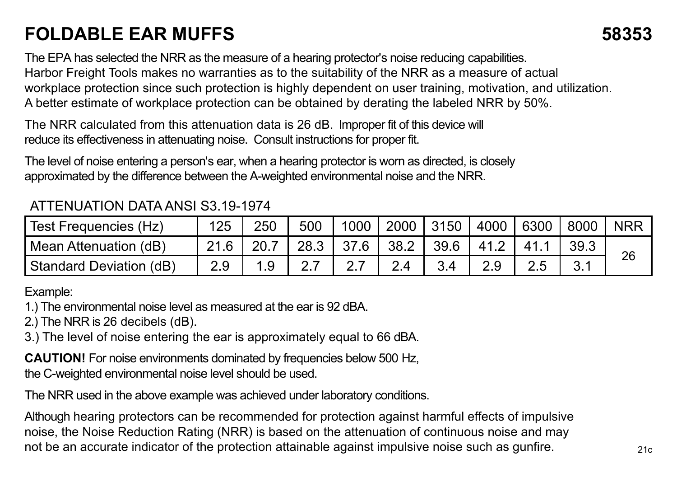## **FOLDABLE EAR MUFFS 58353**

The EPA has selected the NRR as the measure of a hearing protector's noise reducing capabilities. Harbor Freight Tools makes no warranties as to the suitability of the NRR as a measure of actual workplace protection since such protection is highly dependent on user training, motivation, and utilization. A better estimate of workplace protection can be obtained by derating the labeled NRR by 50%.

The NRR calculated from this attenuation data is 26 dB. Improper fit of this device will reduce its effectiveness in attenuating noise. Consult instructions for proper fit.

The level of noise entering a person's ear, when a hearing protector is worn as directed, is closely approximated by the difference between the A-weighted environmental noise and the NRR.

## ATTENUATION DATA ANSI S3.19-1974

| Test Frequencies (Hz)   | 125  | 250 | 500  |      |      | 1000 2000 3150 | 4000 6300 | 8000 | <b>NRR</b> |
|-------------------------|------|-----|------|------|------|----------------|-----------|------|------------|
| Mean Attenuation (dB)   | 21.6 |     | 28.3 | 37.6 | 38.2 | 39.6           | 41.2      | 39.3 | 26         |
| Standard Deviation (dB) | 2.9  |     |      |      |      |                |           |      |            |

## Example:

1.) The environmental noise level as measured at the ear is 92 dBA.

2.) The NRR is 26 decibels (dB).

3.) The level of noise entering the ear is approximately equal to 66 dBA.

**CAUTION!** For noise environments dominated by frequencies below 500 Hz, the C-weighted environmental noise level should be used.

The NRR used in the above example was achieved under laboratory conditions.

Although hearing protectors can be recommended for protection against harmful effects of impulsive noise, the Noise Reduction Rating (NRR) is based on the attenuation of continuous noise and may not be an accurate indicator of the protection attainable against impulsive noise such as gunfire.